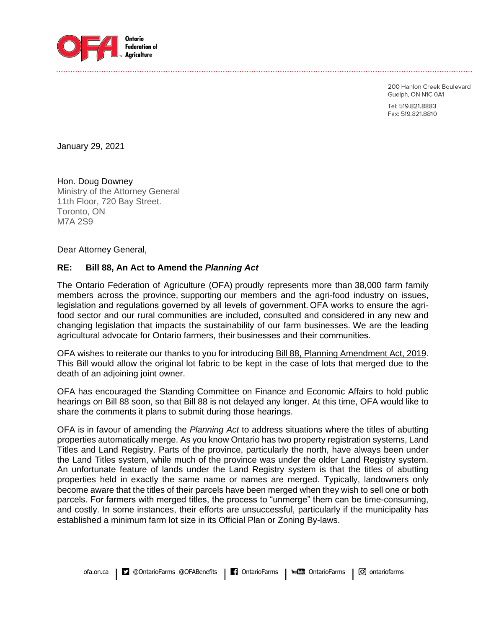

200 Hanlon Creek Boulevard Guelph, ON N1C 0A1

Tel: 519.821.8883 Fax: 519.821.8810

January 29, 2021

Hon. Doug Downey Ministry of the Attorney General 11th Floor, 720 Bay Street. Toronto, ON M7A 2S9

Dear Attorney General,

## **RE: Bill 88, An Act to Amend the** *Planning Act*

The Ontario Federation of Agriculture (OFA) proudly represents more than 38,000 farm family members across the province, supporting our members and the agri-food industry on issues, legislation and regulations governed by all levels of government. OFA works to ensure the agrifood sector and our rural communities are included, consulted and considered in any new and changing legislation that impacts the sustainability of our farm businesses. We are the leading agricultural advocate for Ontario farmers, their businesses and their communities.

OFA wishes to reiterate our thanks to you for introducing Bill 88, Planning Amendment Act, 2019. This Bill would allow the original lot fabric to be kept in the case of lots that merged due to the death of an adjoining joint owner.

OFA has encouraged the Standing Committee on Finance and Economic Affairs to hold public hearings on Bill 88 soon, so that Bill 88 is not delayed any longer. At this time, OFA would like to share the comments it plans to submit during those hearings.

OFA is in favour of amending the *Planning Act* to address situations where the titles of abutting properties automatically merge. As you know Ontario has two property registration systems, Land Titles and Land Registry. Parts of the province, particularly the north, have always been under the Land Titles system, while much of the province was under the older Land Registry system. An unfortunate feature of lands under the Land Registry system is that the titles of abutting properties held in exactly the same name or names are merged. Typically, landowners only become aware that the titles of their parcels have been merged when they wish to sell one or both parcels. For farmers with merged titles, the process to "unmerge" them can be time-consuming, and costly. In some instances, their efforts are unsuccessful, particularly if the municipality has established a minimum farm lot size in its Official Plan or Zoning By-laws.